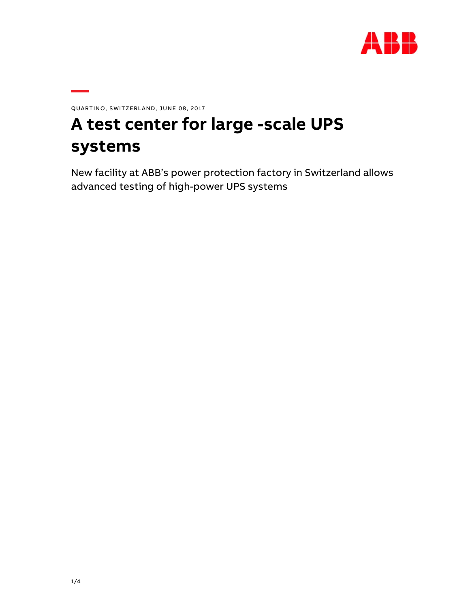

QUARTINO, SWITZERLAND, JUNE 08, 2017

# **A test center for large -scale UPS systems**

New facility at ABB's power protection factory in Switzerland allows advanced testing of high-power UPS systems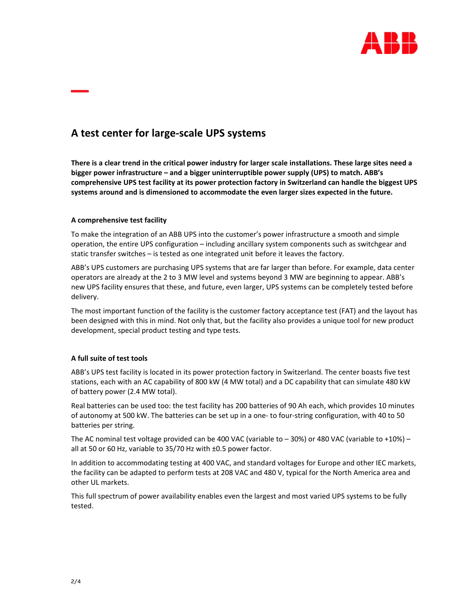

## **A test center for large‐scale UPS systems**

There is a clear trend in the critical power industry for larger scale installations. These large sites need a **bigger power infrastructure – and a bigger uninterruptible power supply (UPS) to match. ABB's comprehensive UPS test facility at its power protection factory in Switzerland can handle the biggest UPS systems around and is dimensioned to accommodate the even larger sizes expected in the future.**

### **A comprehensive test facility**

To make the integration of an ABB UPS into the customer's power infrastructure a smooth and simple operation, the entire UPS configuration – including ancillary system components such as switchgear and static transfer switches – is tested as one integrated unit before it leaves the factory.

ABB's UPS customers are purchasing UPS systems that are far larger than before. For example, data center operators are already at the 2 to 3 MW level and systems beyond 3 MW are beginning to appear. ABB's new UPS facility ensures that these, and future, even larger, UPS systems can be completely tested before delivery.

The most important function of the facility is the customer factory acceptance test (FAT) and the layout has been designed with this in mind. Not only that, but the facility also provides a unique tool for new product development, special product testing and type tests.

### **A full suite of test tools**

ABB's UPS test facility is located in its power protection factory in Switzerland. The center boasts five test stations, each with an AC capability of 800 kW (4 MW total) and a DC capability that can simulate 480 kW of battery power (2.4 MW total).

Real batteries can be used too: the test facility has 200 batteries of 90 Ah each, which provides 10 minutes of autonomy at 500 kW. The batteries can be set up in a one‐ to four‐string configuration, with 40 to 50 batteries per string.

The AC nominal test voltage provided can be 400 VAC (variable to  $-$  30%) or 480 VAC (variable to +10%)  $$ all at 50 or 60 Hz, variable to 35/70 Hz with ±0.5 power factor.

In addition to accommodating testing at 400 VAC, and standard voltages for Europe and other IEC markets, the facility can be adapted to perform tests at 208 VAC and 480 V, typical for the North America area and other UL markets.

This full spectrum of power availability enables even the largest and most varied UPS systems to be fully tested.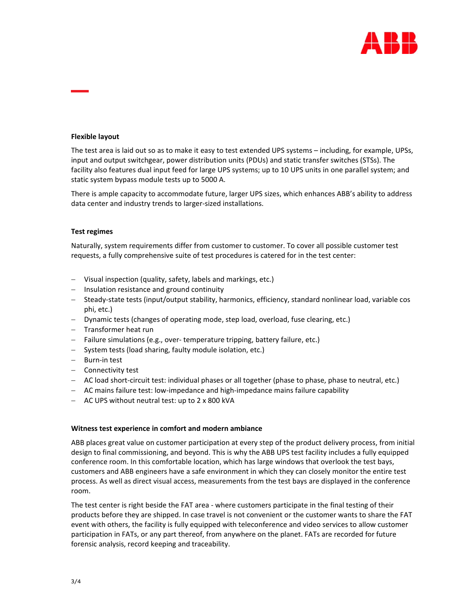

#### **Flexible layout**

The test area is laid out so as to make it easy to test extended UPS systems – including, for example, UPSs, input and output switchgear, power distribution units (PDUs) and static transfer switches (STSs). The facility also features dual input feed for large UPS systems; up to 10 UPS units in one parallel system; and static system bypass module tests up to 5000 A.

There is ample capacity to accommodate future, larger UPS sizes, which enhances ABB's ability to address data center and industry trends to larger‐sized installations.

#### **Test regimes**

Naturally, system requirements differ from customer to customer. To cover all possible customer test requests, a fully comprehensive suite of test procedures is catered for in the test center:

- Visual inspection (quality, safety, labels and markings, etc.)
- $-$  Insulation resistance and ground continuity
- Steady-state tests (input/output stability, harmonics, efficiency, standard nonlinear load, variable cos phi, etc.)
- Dynamic tests (changes of operating mode, step load, overload, fuse clearing, etc.)
- Transformer heat run
- Failure simulations (e.g., over-temperature tripping, battery failure, etc.)
- System tests (load sharing, faulty module isolation, etc.)
- Burn-in test
- Connectivity test
- AC load short-circuit test: individual phases or all together (phase to phase, phase to neutral, etc.)
- AC mains failure test: low‐impedance and high‐impedance mains failure capability
- AC UPS without neutral test: up to 2 x 800 kVA

#### **Witness test experience in comfort and modern ambiance**

ABB places great value on customer participation at every step of the product delivery process, from initial design to final commissioning, and beyond. This is why the ABB UPS test facility includes a fully equipped conference room. In this comfortable location, which has large windows that overlook the test bays, customers and ABB engineers have a safe environment in which they can closely monitor the entire test process. As well as direct visual access, measurements from the test bays are displayed in the conference room.

The test center is right beside the FAT area ‐ where customers participate in the final testing of their products before they are shipped. In case travel is not convenient or the customer wants to share the FAT event with others, the facility is fully equipped with teleconference and video services to allow customer participation in FATs, or any part thereof, from anywhere on the planet. FATs are recorded for future forensic analysis, record keeping and traceability.